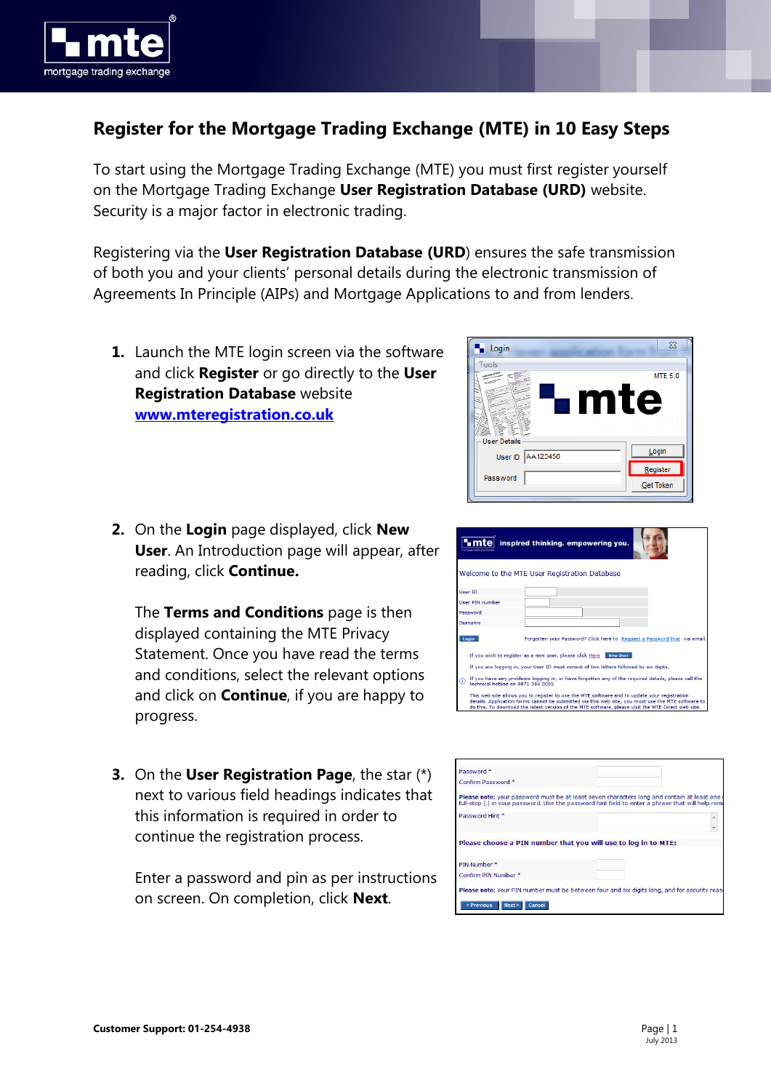

## **Register for the Mortgage Trading Exchange (MTE) in 10 Easy Steps**

To start using the Mortgage Trading Exchange (MTE) you must first register yourself on the Mortgage Trading Exchange **User Registration Database (URD)** website. Security is a major factor in electronic trading.

Registering via the **User Registration Database (URD**) ensures the safe transmission of both you and your clients' personal details during the electronic transmission of Agreements In Principle (AIPs) and Mortgage Applications to and from lenders.

- **1.** Launch the MTE login screen via the software and click **Register** or go directly to the **User Registration Database** website **[www.mteregistration.co.uk](https://www.mteregistration.co.uk/)**
- **2.** On the **Login** page displayed, click **New User**. An Introduction page will appear, after reading, click **Continue.**

The **Terms and Conditions** page is then displayed containing the MTE Privacy Statement. Once you have read the terms and conditions, select the relevant options and click on **Continue**, if you are happy to progress.

**3.** On the **User Registration Page**, the star (\*) next to various field headings indicates that this information is required in order to continue the registration process.

Enter a password and pin as per instructions on screen. On completion, click **Next**.



|                 | inspired thinking. empowering you.                                                                                                                                                                                                                                                                       |
|-----------------|----------------------------------------------------------------------------------------------------------------------------------------------------------------------------------------------------------------------------------------------------------------------------------------------------------|
|                 | Welcome to the MTE User Registration Database                                                                                                                                                                                                                                                            |
| User ID         |                                                                                                                                                                                                                                                                                                          |
| User PIN number |                                                                                                                                                                                                                                                                                                          |
| Password        |                                                                                                                                                                                                                                                                                                          |
| Surname         |                                                                                                                                                                                                                                                                                                          |
| Login           | Forgotten your Password? Click here to Request a Password Hint via email.                                                                                                                                                                                                                                |
|                 | If you wish to register as a new user, please click Here<br><b>New User</b>                                                                                                                                                                                                                              |
|                 | If you are logging in, your User ID must consist of two letters followed by six digits.                                                                                                                                                                                                                  |
| ⊕               | If you have any problems logging in, or have forgotten any of the required details, please call the<br>technical botline on 0871 384 0055                                                                                                                                                                |
|                 | This web site allows you to register to use the MTE software and to update your registration<br>details. Application forms cannot be submitted via this web site, you must use the MTE software to<br>do this. To download the latest version of the MTE software, please visit the MTE Direct web site. |

| Password <sup>*</sup>                                                                                                                                                                           |  |
|-------------------------------------------------------------------------------------------------------------------------------------------------------------------------------------------------|--|
| Confirm Password *                                                                                                                                                                              |  |
| Please note: your password must be at least seven characters long and contain at least one<br>full-stop (.) in your password. Use the password hint field to enter a phrase that will help remi |  |
| Password Hint *                                                                                                                                                                                 |  |
| Please choose a PIN number that you will use to log in to MTE:                                                                                                                                  |  |
| PIN Number *                                                                                                                                                                                    |  |
| Confirm PIN Number *                                                                                                                                                                            |  |
| Please note: Your PIN number must be between four and six digits long, and for security rease                                                                                                   |  |
| < Previous<br>Next<br>Cancel                                                                                                                                                                    |  |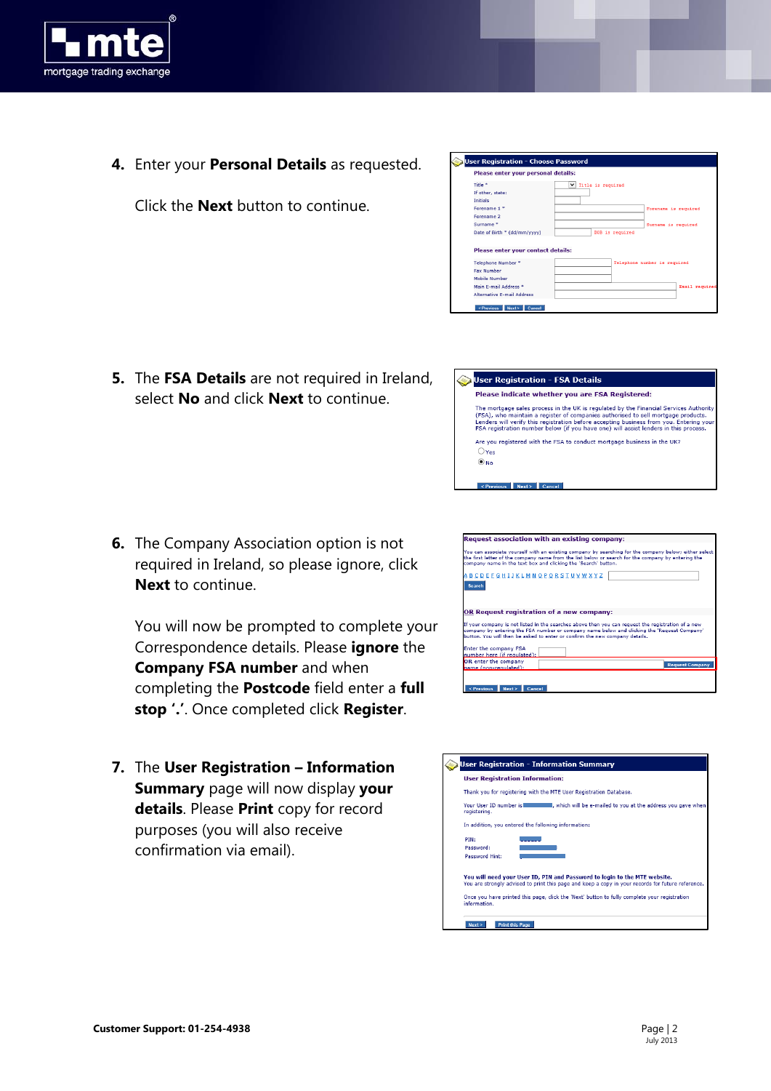

**4.** Enter your **Personal Details** as requested.

Click the **Next** button to continue.

| If other, state:                                                   |                              |
|--------------------------------------------------------------------|------------------------------|
| <b>Initials</b>                                                    |                              |
| Forename 1 *                                                       | Forename is required         |
| Forename 2                                                         |                              |
| Surname <sup>*</sup>                                               | Surname is required          |
|                                                                    |                              |
| Date of Birth * (dd/mm/yyyy)<br>Please enter your contact details: | DOB is required              |
| Telephone Number *                                                 | Telephone number is required |
| <b>Fax Number</b>                                                  |                              |
| Mobile Number                                                      |                              |
| Main E-mail Address *                                              | Email required               |

 $\overline{\mathsf{v}}$  rists is vanisad

aistration - Ch

Title \*

Please enter your personal details:

se Pa

 $\blacksquare$ 

**5.** The **FSA Details** are not required in Ireland, select **No** and click **Next** to continue.



**6.** The Company Association option is not required in Ireland, so please ignore, click **Next** to continue.

You will now be prompted to complete your Correspondence details. Please **ignore** the **Company FSA number** and when completing the **Postcode** field enter a **full stop '.'**. Once completed click **Register**.

**7.** The **User Registration – Information Summary** page will now display **your details**. Please **Print** copy for record purposes (you will also receive confirmation via email).